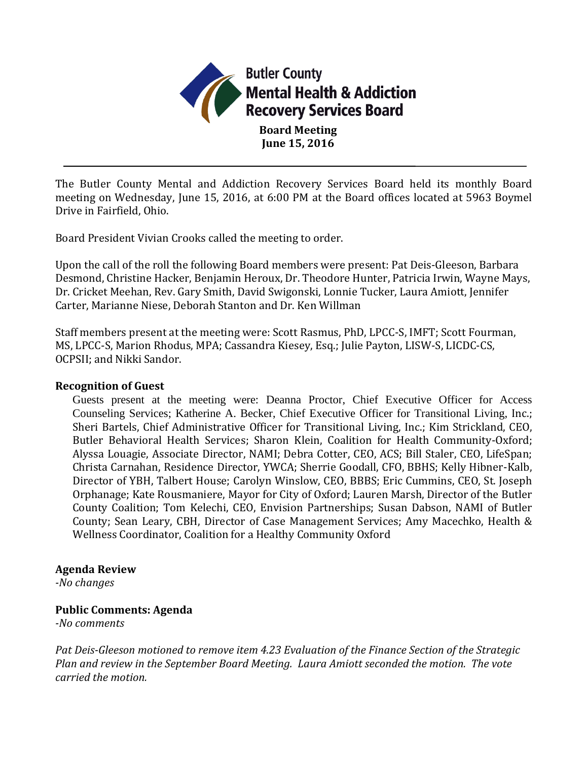

The Butler County Mental and Addiction Recovery Services Board held its monthly Board meeting on Wednesday, June 15, 2016, at 6:00 PM at the Board offices located at 5963 Boymel Drive in Fairfield, Ohio.

Board President Vivian Crooks called the meeting to order.

Upon the call of the roll the following Board members were present: Pat Deis-Gleeson, Barbara Desmond, Christine Hacker, Benjamin Heroux, Dr. Theodore Hunter, Patricia Irwin, Wayne Mays, Dr. Cricket Meehan, Rev. Gary Smith, David Swigonski, Lonnie Tucker, Laura Amiott, Jennifer Carter, Marianne Niese, Deborah Stanton and Dr. Ken Willman

Staff members present at the meeting were: Scott Rasmus, PhD, LPCC-S, IMFT; Scott Fourman, MS, LPCC-S, Marion Rhodus, MPA; Cassandra Kiesey, Esq.; Julie Payton, LISW-S, LICDC-CS, OCPSII; and Nikki Sandor.

#### **Recognition of Guest**

Guests present at the meeting were: Deanna Proctor, Chief Executive Officer for Access Counseling Services; Katherine A. Becker, Chief Executive Officer for Transitional Living, Inc.; Sheri Bartels, Chief Administrative Officer for Transitional Living, Inc.; Kim Strickland, CEO, Butler Behavioral Health Services; Sharon Klein, Coalition for Health Community-Oxford; Alyssa Louagie, Associate Director, NAMI; Debra Cotter, CEO, ACS; Bill Staler, CEO, LifeSpan; Christa Carnahan, Residence Director, YWCA; Sherrie Goodall, CFO, BBHS; Kelly Hibner-Kalb, Director of YBH, Talbert House; Carolyn Winslow, CEO, BBBS; Eric Cummins, CEO, St. Joseph Orphanage; Kate Rousmaniere, Mayor for City of Oxford; Lauren Marsh, Director of the Butler County Coalition; Tom Kelechi, CEO, Envision Partnerships; Susan Dabson, NAMI of Butler County; Sean Leary, CBH, Director of Case Management Services; Amy Macechko, Health & Wellness Coordinator, Coalition for a Healthy Community Oxford

#### **Agenda Review**

*-No changes*

#### **Public Comments: Agenda**

*-No comments*

*Pat Deis-Gleeson motioned to remove item 4.23 Evaluation of the Finance Section of the Strategic Plan and review in the September Board Meeting. Laura Amiott seconded the motion. The vote carried the motion.*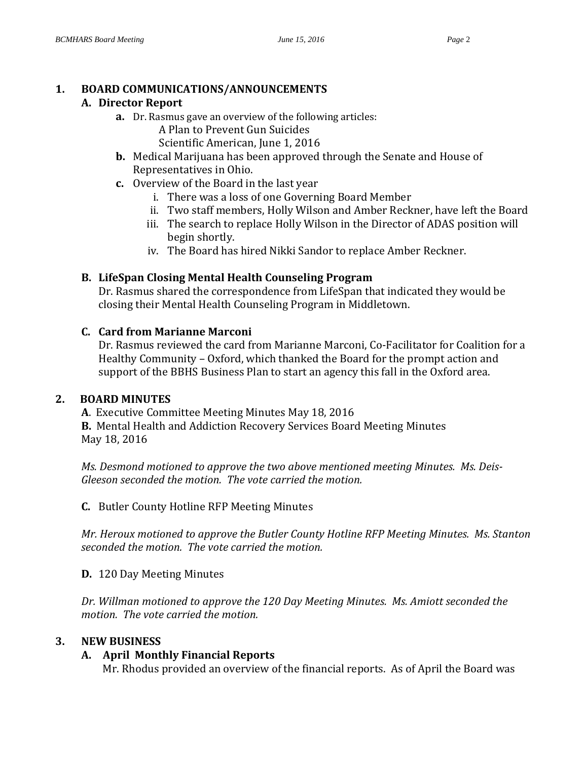# **1. BOARD COMMUNICATIONS/ANNOUNCEMENTS**

# **A. Director Report**

- **a.** Dr. Rasmus gave an overview of the following articles:
	- A Plan to Prevent Gun Suicides
	- Scientific American, June 1, 2016
- **b.** Medical Marijuana has been approved through the Senate and House of Representatives in Ohio.
- **c.** Overview of the Board in the last year
	- i. There was a loss of one Governing Board Member
	- ii. Two staff members, Holly Wilson and Amber Reckner, have left the Board
	- iii. The search to replace Holly Wilson in the Director of ADAS position will begin shortly.
	- iv. The Board has hired Nikki Sandor to replace Amber Reckner.

# **B. LifeSpan Closing Mental Health Counseling Program**

Dr. Rasmus shared the correspondence from LifeSpan that indicated they would be closing their Mental Health Counseling Program in Middletown.

# **C. Card from Marianne Marconi**

Dr. Rasmus reviewed the card from Marianne Marconi, Co-Facilitator for Coalition for a Healthy Community – Oxford, which thanked the Board for the prompt action and support of the BBHS Business Plan to start an agency this fall in the Oxford area.

# **2. BOARD MINUTES**

**A**. Executive Committee Meeting Minutes May 18, 2016

**B.** Mental Health and Addiction Recovery Services Board Meeting Minutes May 18, 2016

*Ms. Desmond motioned to approve the two above mentioned meeting Minutes. Ms. Deis-Gleeson seconded the motion. The vote carried the motion.*

**C.** Butler County Hotline RFP Meeting Minutes

*Mr. Heroux motioned to approve the Butler County Hotline RFP Meeting Minutes. Ms. Stanton seconded the motion. The vote carried the motion.*

# **D.** 120 Day Meeting Minutes

*Dr. Willman motioned to approve the 120 Day Meeting Minutes. Ms. Amiott seconded the motion. The vote carried the motion.*

# **3. NEW BUSINESS**

# **A. April Monthly Financial Reports**

Mr. Rhodus provided an overview of the financial reports. As of April the Board was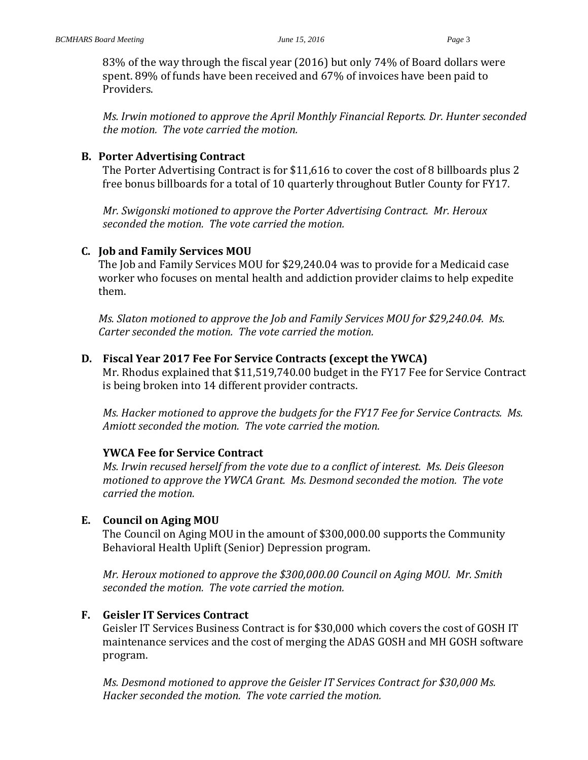83% of the way through the fiscal year (2016) but only 74% of Board dollars were spent. 89% of funds have been received and 67% of invoices have been paid to Providers.

*Ms. Irwin motioned to approve the April Monthly Financial Reports. Dr. Hunter seconded the motion. The vote carried the motion.* 

#### **B. Porter Advertising Contract**

The Porter Advertising Contract is for \$11,616 to cover the cost of 8 billboards plus 2 free bonus billboards for a total of 10 quarterly throughout Butler County for FY17.

*Mr. Swigonski motioned to approve the Porter Advertising Contract. Mr. Heroux seconded the motion. The vote carried the motion.*

#### **C. Job and Family Services MOU**

The Job and Family Services MOU for \$29,240.04 was to provide for a Medicaid case worker who focuses on mental health and addiction provider claims to help expedite them.

*Ms. Slaton motioned to approve the Job and Family Services MOU for \$29,240.04. Ms. Carter seconded the motion. The vote carried the motion.*

#### **D. Fiscal Year 2017 Fee For Service Contracts (except the YWCA)**

Mr. Rhodus explained that \$11,519,740.00 budget in the FY17 Fee for Service Contract is being broken into 14 different provider contracts.

*Ms. Hacker motioned to approve the budgets for the FY17 Fee for Service Contracts. Ms. Amiott seconded the motion. The vote carried the motion.*

#### **YWCA Fee for Service Contract**

*Ms. Irwin recused herself from the vote due to a conflict of interest. Ms. Deis Gleeson motioned to approve the YWCA Grant. Ms. Desmond seconded the motion. The vote carried the motion.*

#### **E. Council on Aging MOU**

The Council on Aging MOU in the amount of \$300,000.00 supports the Community Behavioral Health Uplift (Senior) Depression program.

*Mr. Heroux motioned to approve the \$300,000.00 Council on Aging MOU. Mr. Smith seconded the motion. The vote carried the motion.*

#### **F. Geisler IT Services Contract**

Geisler IT Services Business Contract is for \$30,000 which covers the cost of GOSH IT maintenance services and the cost of merging the ADAS GOSH and MH GOSH software program.

*Ms. Desmond motioned to approve the Geisler IT Services Contract for \$30,000 Ms. Hacker seconded the motion. The vote carried the motion.*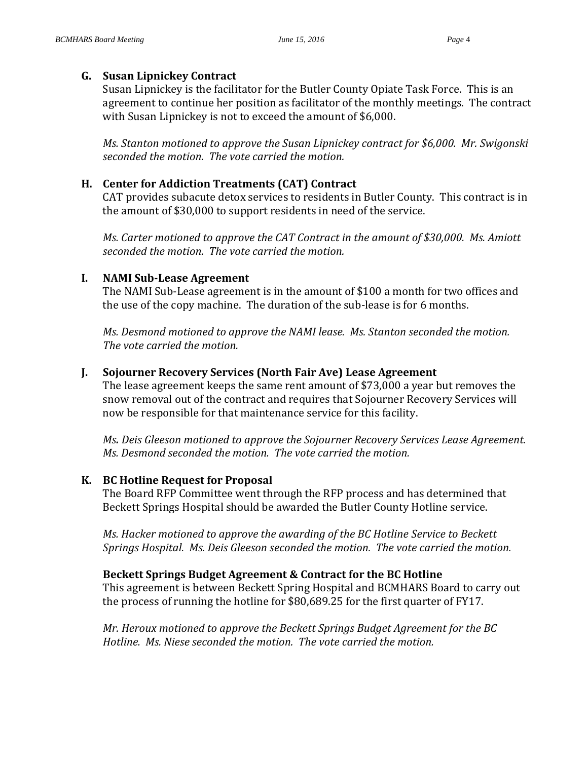#### **G. Susan Lipnickey Contract**

Susan Lipnickey is the facilitator for the Butler County Opiate Task Force. This is an agreement to continue her position as facilitator of the monthly meetings. The contract with Susan Lipnickey is not to exceed the amount of \$6,000.

*Ms. Stanton motioned to approve the Susan Lipnickey contract for \$6,000. Mr. Swigonski seconded the motion. The vote carried the motion.*

#### **H. Center for Addiction Treatments (CAT) Contract**

CAT provides subacute detox services to residents in Butler County. This contract is in the amount of \$30,000 to support residents in need of the service.

*Ms. Carter motioned to approve the CAT Contract in the amount of \$30,000. Ms. Amiott seconded the motion. The vote carried the motion.*

#### **I. NAMI Sub-Lease Agreement**

The NAMI Sub-Lease agreement is in the amount of \$100 a month for two offices and the use of the copy machine. The duration of the sub-lease is for 6 months.

*Ms. Desmond motioned to approve the NAMI lease. Ms. Stanton seconded the motion. The vote carried the motion.*

#### **J. Sojourner Recovery Services (North Fair Ave) Lease Agreement**

The lease agreement keeps the same rent amount of \$73,000 a year but removes the snow removal out of the contract and requires that Sojourner Recovery Services will now be responsible for that maintenance service for this facility.

*Ms. Deis Gleeson motioned to approve the Sojourner Recovery Services Lease Agreement. Ms. Desmond seconded the motion. The vote carried the motion.*

#### **K. BC Hotline Request for Proposal**

The Board RFP Committee went through the RFP process and has determined that Beckett Springs Hospital should be awarded the Butler County Hotline service.

*Ms. Hacker motioned to approve the awarding of the BC Hotline Service to Beckett Springs Hospital. Ms. Deis Gleeson seconded the motion. The vote carried the motion.*

#### **Beckett Springs Budget Agreement & Contract for the BC Hotline**

This agreement is between Beckett Spring Hospital and BCMHARS Board to carry out the process of running the hotline for \$80,689.25 for the first quarter of FY17.

*Mr. Heroux motioned to approve the Beckett Springs Budget Agreement for the BC Hotline. Ms. Niese seconded the motion. The vote carried the motion.*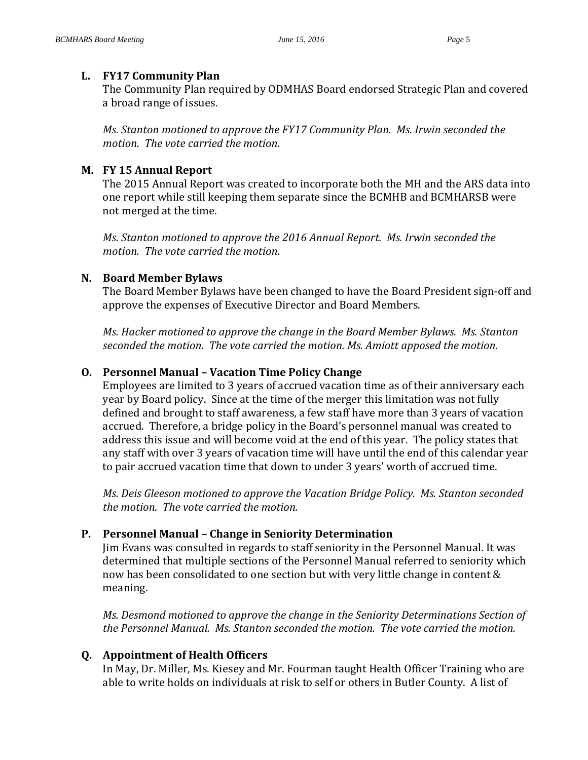#### **L. FY17 Community Plan**

The Community Plan required by ODMHAS Board endorsed Strategic Plan and covered a broad range of issues.

*Ms. Stanton motioned to approve the FY17 Community Plan. Ms. Irwin seconded the motion. The vote carried the motion.*

## **M. FY 15 Annual Report**

The 2015 Annual Report was created to incorporate both the MH and the ARS data into one report while still keeping them separate since the BCMHB and BCMHARSB were not merged at the time.

*Ms. Stanton motioned to approve the 2016 Annual Report. Ms. Irwin seconded the motion. The vote carried the motion.*

## **N. Board Member Bylaws**

The Board Member Bylaws have been changed to have the Board President sign-off and approve the expenses of Executive Director and Board Members.

*Ms. Hacker motioned to approve the change in the Board Member Bylaws. Ms. Stanton seconded the motion. The vote carried the motion. Ms. Amiott apposed the motion.*

## **O. Personnel Manual – Vacation Time Policy Change**

Employees are limited to 3 years of accrued vacation time as of their anniversary each year by Board policy. Since at the time of the merger this limitation was not fully defined and brought to staff awareness, a few staff have more than 3 years of vacation accrued. Therefore, a bridge policy in the Board's personnel manual was created to address this issue and will become void at the end of this year. The policy states that any staff with over 3 years of vacation time will have until the end of this calendar year to pair accrued vacation time that down to under 3 years' worth of accrued time.

*Ms. Deis Gleeson motioned to approve the Vacation Bridge Policy. Ms. Stanton seconded the motion. The vote carried the motion.*

# **P. Personnel Manual – Change in Seniority Determination**

Jim Evans was consulted in regards to staff seniority in the Personnel Manual. It was determined that multiple sections of the Personnel Manual referred to seniority which now has been consolidated to one section but with very little change in content & meaning.

*Ms. Desmond motioned to approve the change in the Seniority Determinations Section of the Personnel Manual. Ms. Stanton seconded the motion. The vote carried the motion.*

# **Q. Appointment of Health Officers**

In May, Dr. Miller, Ms. Kiesey and Mr. Fourman taught Health Officer Training who are able to write holds on individuals at risk to self or others in Butler County. A list of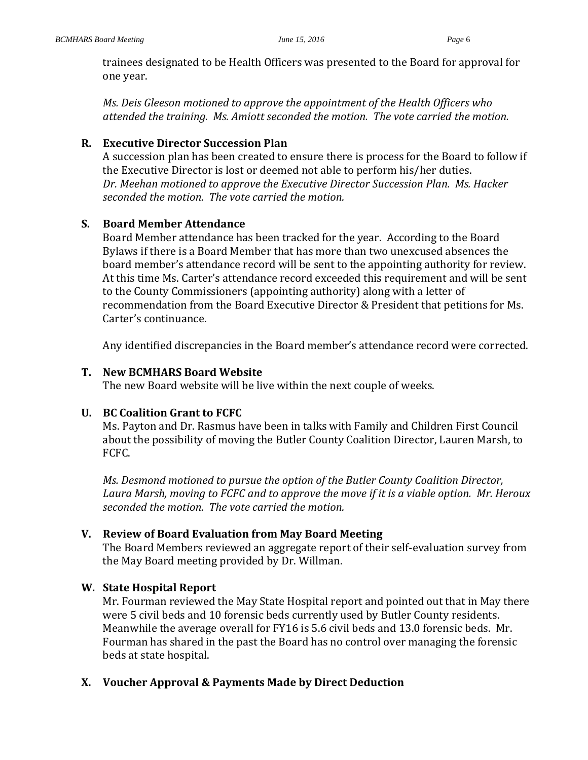trainees designated to be Health Officers was presented to the Board for approval for one year.

*Ms. Deis Gleeson motioned to approve the appointment of the Health Officers who attended the training. Ms. Amiott seconded the motion. The vote carried the motion.*

#### **R. Executive Director Succession Plan**

A succession plan has been created to ensure there is process for the Board to follow if the Executive Director is lost or deemed not able to perform his/her duties. *Dr. Meehan motioned to approve the Executive Director Succession Plan. Ms. Hacker seconded the motion. The vote carried the motion.*

## **S. Board Member Attendance**

Board Member attendance has been tracked for the year. According to the Board Bylaws if there is a Board Member that has more than two unexcused absences the board member's attendance record will be sent to the appointing authority for review. At this time Ms. Carter's attendance record exceeded this requirement and will be sent to the County Commissioners (appointing authority) along with a letter of recommendation from the Board Executive Director & President that petitions for Ms. Carter's continuance.

Any identified discrepancies in the Board member's attendance record were corrected.

#### **T. New BCMHARS Board Website**

The new Board website will be live within the next couple of weeks.

## **U. BC Coalition Grant to FCFC**

Ms. Payton and Dr. Rasmus have been in talks with Family and Children First Council about the possibility of moving the Butler County Coalition Director, Lauren Marsh, to FCFC.

*Ms. Desmond motioned to pursue the option of the Butler County Coalition Director, Laura Marsh, moving to FCFC and to approve the move if it is a viable option. Mr. Heroux seconded the motion. The vote carried the motion.*

## **V. Review of Board Evaluation from May Board Meeting**

The Board Members reviewed an aggregate report of their self-evaluation survey from the May Board meeting provided by Dr. Willman.

## **W. State Hospital Report**

Mr. Fourman reviewed the May State Hospital report and pointed out that in May there were 5 civil beds and 10 forensic beds currently used by Butler County residents. Meanwhile the average overall for FY16 is 5.6 civil beds and 13.0 forensic beds. Mr. Fourman has shared in the past the Board has no control over managing the forensic beds at state hospital.

#### **X. Voucher Approval & Payments Made by Direct Deduction**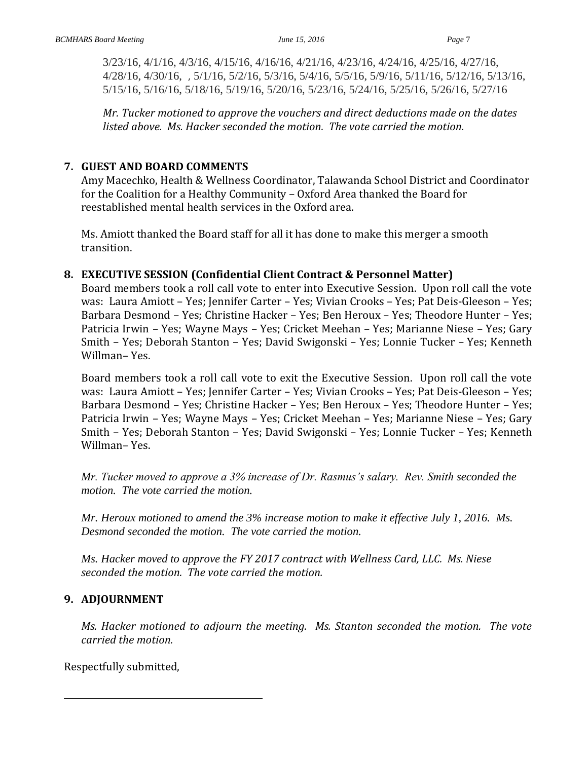3/23/16, 4/1/16, 4/3/16, 4/15/16, 4/16/16, 4/21/16, 4/23/16, 4/24/16, 4/25/16, 4/27/16, 4/28/16, 4/30/16, , 5/1/16, 5/2/16, 5/3/16, 5/4/16, 5/5/16, 5/9/16, 5/11/16, 5/12/16, 5/13/16, 5/15/16, 5/16/16, 5/18/16, 5/19/16, 5/20/16, 5/23/16, 5/24/16, 5/25/16, 5/26/16, 5/27/16

*Mr. Tucker motioned to approve the vouchers and direct deductions made on the dates listed above. Ms. Hacker seconded the motion. The vote carried the motion.*

## **7. GUEST AND BOARD COMMENTS**

Amy Macechko, Health & Wellness Coordinator, Talawanda School District and Coordinator for the Coalition for a Healthy Community – Oxford Area thanked the Board for reestablished mental health services in the Oxford area.

Ms. Amiott thanked the Board staff for all it has done to make this merger a smooth transition.

## **8. EXECUTIVE SESSION (Confidential Client Contract & Personnel Matter)**

Board members took a roll call vote to enter into Executive Session. Upon roll call the vote was: Laura Amiott – Yes; Jennifer Carter – Yes; Vivian Crooks – Yes; Pat Deis-Gleeson – Yes; Barbara Desmond – Yes; Christine Hacker – Yes; Ben Heroux – Yes; Theodore Hunter – Yes; Patricia Irwin – Yes; Wayne Mays – Yes; Cricket Meehan – Yes; Marianne Niese – Yes; Gary Smith – Yes; Deborah Stanton – Yes; David Swigonski – Yes; Lonnie Tucker – Yes; Kenneth Willman– Yes.

Board members took a roll call vote to exit the Executive Session. Upon roll call the vote was: Laura Amiott – Yes; Jennifer Carter – Yes; Vivian Crooks – Yes; Pat Deis-Gleeson – Yes; Barbara Desmond – Yes; Christine Hacker – Yes; Ben Heroux – Yes; Theodore Hunter – Yes; Patricia Irwin – Yes; Wayne Mays – Yes; Cricket Meehan – Yes; Marianne Niese – Yes; Gary Smith – Yes; Deborah Stanton – Yes; David Swigonski – Yes; Lonnie Tucker – Yes; Kenneth Willman– Yes.

*Mr. Tucker moved to approve a 3% increase of Dr. Rasmus's salary. Rev. Smith seconded the motion. The vote carried the motion.*

*Mr. Heroux motioned to amend the 3% increase motion to make it effective July 1, 2016. Ms. Desmond seconded the motion. The vote carried the motion.*

*Ms. Hacker moved to approve the FY 2017 contract with Wellness Card, LLC. Ms. Niese seconded the motion. The vote carried the motion.*

## **9. ADJOURNMENT**

*Ms. Hacker motioned to adjourn the meeting. Ms. Stanton seconded the motion. The vote carried the motion.*

Respectfully submitted,